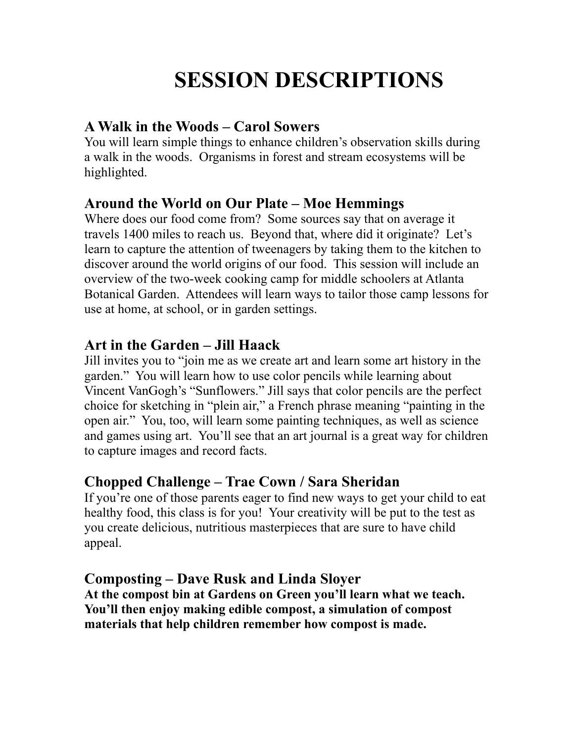# **SESSION DESCRIPTIONS**

#### **A Walk in the Woods – Carol Sowers**

You will learn simple things to enhance children's observation skills during a walk in the woods. Organisms in forest and stream ecosystems will be highlighted.

## **Around the World on Our Plate – Moe Hemmings**

Where does our food come from? Some sources say that on average it travels 1400 miles to reach us. Beyond that, where did it originate? Let's learn to capture the attention of tweenagers by taking them to the kitchen to discover around the world origins of our food. This session will include an overview of the two-week cooking camp for middle schoolers at Atlanta Botanical Garden. Attendees will learn ways to tailor those camp lessons for use at home, at school, or in garden settings.

# **Art in the Garden – Jill Haack**

Jill invites you to "join me as we create art and learn some art history in the garden." You will learn how to use color pencils while learning about Vincent VanGogh's "Sunflowers." Jill says that color pencils are the perfect choice for sketching in "plein air," a French phrase meaning "painting in the open air." You, too, will learn some painting techniques, as well as science and games using art. You'll see that an art journal is a great way for children to capture images and record facts.

# **Chopped Challenge – Trae Cown / Sara Sheridan**

If you're one of those parents eager to find new ways to get your child to eat healthy food, this class is for you! Your creativity will be put to the test as you create delicious, nutritious masterpieces that are sure to have child appeal.

# **Composting – Dave Rusk and Linda Sloyer**

**At the compost bin at Gardens on Green you'll learn what we teach. You'll then enjoy making edible compost, a simulation of compost materials that help children remember how compost is made.**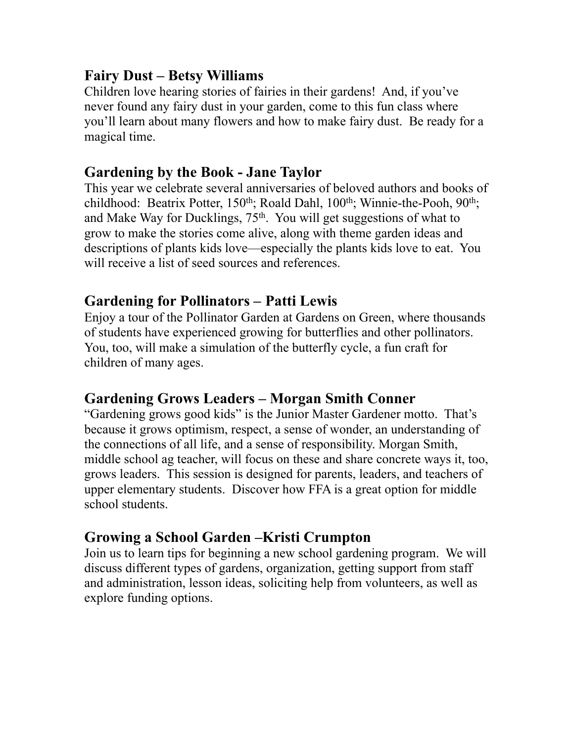### **Fairy Dust – Betsy Williams**

Children love hearing stories of fairies in their gardens! And, if you've never found any fairy dust in your garden, come to this fun class where you'll learn about many flowers and how to make fairy dust. Be ready for a magical time.

#### **Gardening by the Book - Jane Taylor**

This year we celebrate several anniversaries of beloved authors and books of childhood: Beatrix Potter, 150<sup>th</sup>; Roald Dahl, 100<sup>th</sup>; Winnie-the-Pooh, 90<sup>th</sup>; and Make Way for Ducklings,  $75<sup>th</sup>$ . You will get suggestions of what to grow to make the stories come alive, along with theme garden ideas and descriptions of plants kids love—especially the plants kids love to eat. You will receive a list of seed sources and references.

#### **Gardening for Pollinators – Patti Lewis**

Enjoy a tour of the Pollinator Garden at Gardens on Green, where thousands of students have experienced growing for butterflies and other pollinators. You, too, will make a simulation of the butterfly cycle, a fun craft for children of many ages.

# **Gardening Grows Leaders – Morgan Smith Conner**

"Gardening grows good kids" is the Junior Master Gardener motto. That's because it grows optimism, respect, a sense of wonder, an understanding of the connections of all life, and a sense of responsibility. Morgan Smith, middle school ag teacher, will focus on these and share concrete ways it, too, grows leaders. This session is designed for parents, leaders, and teachers of upper elementary students. Discover how FFA is a great option for middle school students.

#### **Growing a School Garden –Kristi Crumpton**

Join us to learn tips for beginning a new school gardening program. We will discuss different types of gardens, organization, getting support from staff and administration, lesson ideas, soliciting help from volunteers, as well as explore funding options.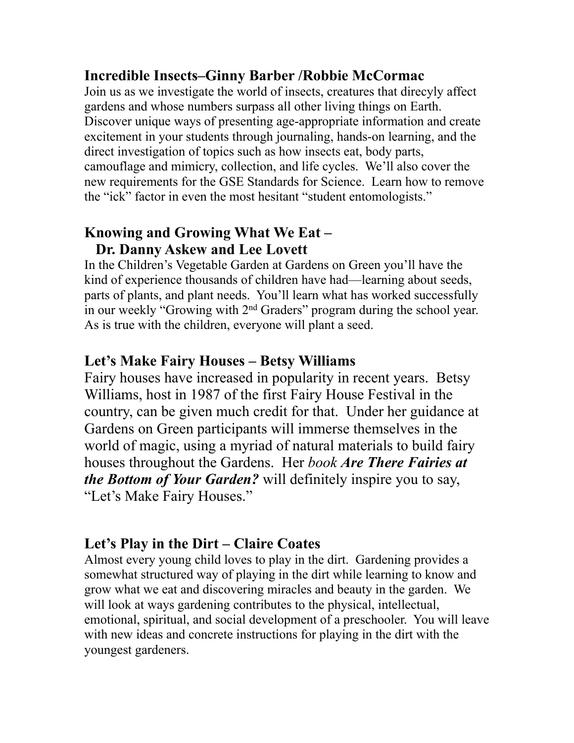#### **Incredible Insects–Ginny Barber /Robbie McCormac**

Join us as we investigate the world of insects, creatures that direcyly affect gardens and whose numbers surpass all other living things on Earth. Discover unique ways of presenting age-appropriate information and create excitement in your students through journaling, hands-on learning, and the direct investigation of topics such as how insects eat, body parts, camouflage and mimicry, collection, and life cycles. We'll also cover the new requirements for the GSE Standards for Science. Learn how to remove the "ick" factor in even the most hesitant "student entomologists."

#### **Knowing and Growing What We Eat – Dr. Danny Askew and Lee Lovett**

In the Children's Vegetable Garden at Gardens on Green you'll have the kind of experience thousands of children have had—learning about seeds, parts of plants, and plant needs. You'll learn what has worked successfully in our weekly "Growing with 2nd Graders" program during the school year. As is true with the children, everyone will plant a seed.

#### **Let's Make Fairy Houses – Betsy Williams**

Fairy houses have increased in popularity in recent years. Betsy Williams, host in 1987 of the first Fairy House Festival in the country, can be given much credit for that. Under her guidance at Gardens on Green participants will immerse themselves in the world of magic, using a myriad of natural materials to build fairy houses throughout the Gardens. Her *book Are There Fairies at the Bottom of Your Garden?* will definitely inspire you to say, "Let's Make Fairy Houses."

#### **Let's Play in the Dirt – Claire Coates**

Almost every young child loves to play in the dirt. Gardening provides a somewhat structured way of playing in the dirt while learning to know and grow what we eat and discovering miracles and beauty in the garden. We will look at ways gardening contributes to the physical, intellectual, emotional, spiritual, and social development of a preschooler. You will leave with new ideas and concrete instructions for playing in the dirt with the youngest gardeners.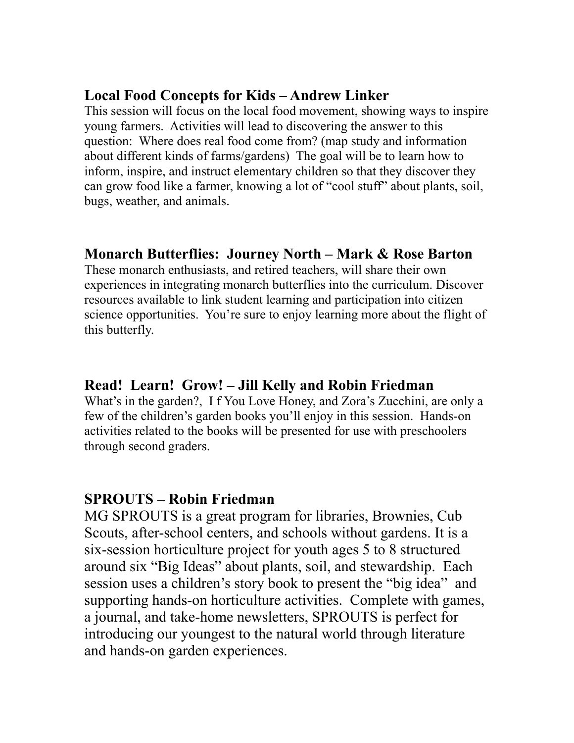#### **Local Food Concepts for Kids – Andrew Linker**

This session will focus on the local food movement, showing ways to inspire young farmers. Activities will lead to discovering the answer to this question: Where does real food come from? (map study and information about different kinds of farms/gardens) The goal will be to learn how to inform, inspire, and instruct elementary children so that they discover they can grow food like a farmer, knowing a lot of "cool stuff" about plants, soil, bugs, weather, and animals.

## **Monarch Butterflies: Journey North – Mark & Rose Barton**

These monarch enthusiasts, and retired teachers, will share their own experiences in integrating monarch butterflies into the curriculum. Discover resources available to link student learning and participation into citizen science opportunities. You're sure to enjoy learning more about the flight of this butterfly.

#### **Read! Learn! Grow! – Jill Kelly and Robin Friedman**

What's in the garden?, I f You Love Honey, and Zora's Zucchini, are only a few of the children's garden books you'll enjoy in this session. Hands-on activities related to the books will be presented for use with preschoolers through second graders.

#### **SPROUTS – Robin Friedman**

MG SPROUTS is a great program for libraries, Brownies, Cub Scouts, after-school centers, and schools without gardens. It is a six-session horticulture project for youth ages 5 to 8 structured around six "Big Ideas" about plants, soil, and stewardship. Each session uses a children's story book to present the "big idea" and supporting hands-on horticulture activities. Complete with games, a journal, and take-home newsletters, SPROUTS is perfect for introducing our youngest to the natural world through literature and hands-on garden experiences.